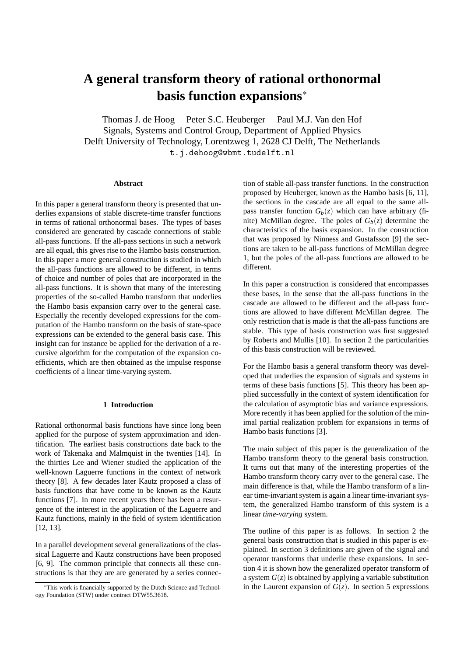# **A general transform theory of rational orthonormal basis function expansions**<sup>∗</sup>

Thomas J. de Hoog Peter S.C. Heuberger Paul M.J. Van den Hof Signals, Systems and Control Group, Department of Applied Physics Delft University of Technology, Lorentzweg 1, 2628 CJ Delft, The Netherlands t.j.dehoog@wbmt.tudelft.nl

## **Abstract**

In this paper a general transform theory is presented that underlies expansions of stable discrete-time transfer functions in terms of rational orthonormal bases. The types of bases considered are generated by cascade connections of stable all-pass functions. If the all-pass sections in such a network are all equal, this gives rise to the Hambo basis construction. In this paper a more general construction is studied in which the all-pass functions are allowed to be different, in terms of choice and number of poles that are incorporated in the all-pass functions. It is shown that many of the interesting properties of the so-called Hambo transform that underlies the Hambo basis expansion carry over to the general case. Especially the recently developed expressions for the computation of the Hambo transform on the basis of state-space expressions can be extended to the general basis case. This insight can for instance be applied for the derivation of a recursive algorithm for the computation of the expansion coefficients, which are then obtained as the impulse response coefficients of a linear time-varying system.

# **1 Introduction**

Rational orthonormal basis functions have since long been applied for the purpose of system approximation and identification. The earliest basis constructions date back to the work of Takenaka and Malmquist in the twenties [14]. In the thirties Lee and Wiener studied the application of the well-known Laguerre functions in the context of network theory [8]. A few decades later Kautz proposed a class of basis functions that have come to be known as the Kautz functions [7]. In more recent years there has been a resurgence of the interest in the application of the Laguerre and Kautz functions, mainly in the field of system identification [12, 13].

In a parallel development several generalizations of the classical Laguerre and Kautz constructions have been proposed [6, 9]. The common principle that connects all these constructions is that they are are generated by a series connection of stable all-pass transfer functions. In the construction proposed by Heuberger, known as the Hambo basis [6, 11], the sections in the cascade are all equal to the same allpass transfer function  $G_b(z)$  which can have arbitrary (finite) McMillan degree. The poles of  $G_b(z)$  determine the characteristics of the basis expansion. In the construction that was proposed by Ninness and Gustafsson [9] the sections are taken to be all-pass functions of McMillan degree 1, but the poles of the all-pass functions are allowed to be different.

In this paper a construction is considered that encompasses these bases, in the sense that the all-pass functions in the cascade are allowed to be different and the all-pass functions are allowed to have different McMillan degree. The only restriction that is made is that the all-pass functions are stable. This type of basis construction was first suggested by Roberts and Mullis [10]. In section 2 the particularities of this basis construction will be reviewed.

For the Hambo basis a general transform theory was developed that underlies the expansion of signals and systems in terms of these basis functions [5]. This theory has been applied successfully in the context of system identification for the calculation of asymptotic bias and variance expressions. More recently it has been applied for the solution of the minimal partial realization problem for expansions in terms of Hambo basis functions [3].

The main subject of this paper is the generalization of the Hambo transform theory to the general basis construction. It turns out that many of the interesting properties of the Hambo transform theory carry over to the general case. The main difference is that, while the Hambo transform of a linear time-invariant system is again a linear time-invariant system, the generalized Hambo transform of this system is a linear *time-varying* system.

The outline of this paper is as follows. In section 2 the general basis construction that is studied in this paper is explained. In section 3 definitions are given of the signal and operator transforms that underlie these expansions. In section 4 it is shown how the generalized operator transform of a system  $G(z)$  is obtained by applying a variable substitution in the Laurent expansion of  $G(z)$ . In section 5 expressions

<sup>∗</sup>This work is financially supported by the Dutch Science and Technology Foundation (STW) under contract DTW55.3618.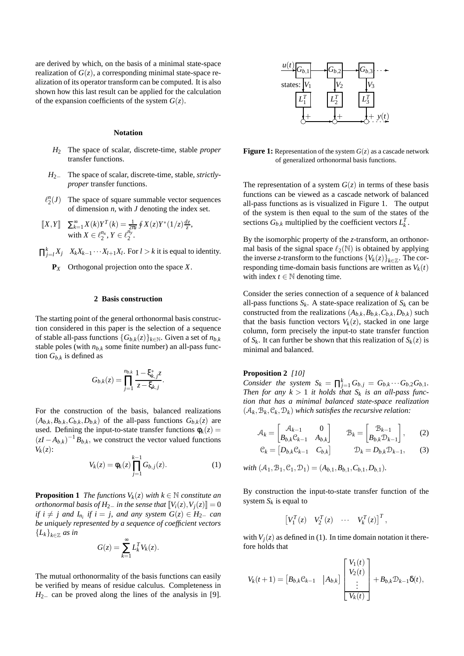are derived by which, on the basis of a minimal state-space realization of  $G(z)$ , a corresponding minimal state-space realization of its operator transform can be computed. It is also shown how this last result can be applied for the calculation of the expansion coefficients of the system  $G(z)$ .

## **Notation**

- *H*<sup>2</sup> The space of scalar, discrete-time, stable *proper* transfer functions.
- *H*<sub>2−</sub> The space of scalar, discrete-time, stable, *strictlyproper* transfer functions.
- $\ell_2^n(J)$  The space of square summable vector sequences of dimension *n*, with *J* denoting the index set.
- $[X,Y]$   $\sum_{k=1}^{\infty} X(k)Y^{T}(k) = \frac{1}{2\pi i} \oint X(z)Y^{*}(1/z) \frac{dz}{z}$ with  $X \in \ell_2^{n_x}, Y \in \ell_2^{n_y}$ .
- $\prod_{j=l}^{k} X_j$  *X<sub>k</sub>X<sub>k−1</sub>* ···*X<sub>l+1</sub>X<sub>l</sub>*. For *l* > *k* it is equal to identity.
	- **P***<sup>X</sup>* Orthogonal projection onto the space *X*.

## **2 Basis construction**

The starting point of the general orthonormal basis construction considered in this paper is the selection of a sequence of stable all-pass functions  ${G_{b,k}(z)}_{k \in \mathbb{N}}$ . Given a set of  $n_{b,k}$ stable poles (with  $n_{b,k}$  some finite number) an all-pass function *Gb*,*<sup>k</sup>* is defined as

$$
G_{b,k}(z) = \prod_{j=1}^{n_{b,k}} \frac{1 - \xi_{k,j}^* z}{z - \xi_{k,j}}.
$$

For the construction of the basis, balanced realizations  $(A_{b,k}, B_{b,k}, C_{b,k}, D_{b,k})$  of the all-pass functions  $G_{b,k}(z)$  are used. Defining the input-to-state transfer functions  $\phi_k(z)$  =  $(zI - A_{b,k})^{-1}B_{b,k}$ , we construct the vector valued functions *Vk*(*z*):

$$
V_k(z) = \phi_k(z) \prod_{j=1}^{k-1} G_{b,j}(z).
$$
 (1)

**Proposition 1** *The functions*  $V_k(z)$  *with*  $k \in \mathbb{N}$  *constitute an orthonormal basis of H*<sub>2−</sub> *in the sense that*  $\llbracket V_i(z), V_j(z) \rrbracket = 0$ *if*  $i \neq j$  and  $I_{n_i}$  *if*  $i = j$ *, and any system*  $G(z) \in H_{2-}$  *can be uniquely represented by a sequence of coefficient vectors*  ${L_k}_{k \in \mathbb{Z}}$  *as in* 

$$
G(z) = \sum_{k=1}^{\infty} L_k^T V_k(z).
$$

The mutual orthonormality of the basis functions can easily be verified by means of residue calculus. Completeness in *H*<sub>2−</sub> can be proved along the lines of the analysis in [9].



**Figure 1:** Representation of the system  $G(z)$  as a cascade network of generalized orthonormal basis functions.

The representation of a system  $G(z)$  in terms of these basis functions can be viewed as a cascade network of balanced all-pass functions as is visualized in Figure 1. The output of the system is then equal to the sum of the states of the sections  $G_{b,k}$  multiplied by the coefficient vectors  $L_k^T$ .

By the isomorphic property of the *z*-transform, an orthonormal basis of the signal space  $\ell_2(\mathbb{N})$  is obtained by applying the inverse *z*-transform to the functions  ${V_k(z)}_{k \in \mathbb{Z}}$ . The corresponding time-domain basis functions are written as  $V_k(t)$ with index  $t \in \mathbb{N}$  denoting time.

Consider the series connection of a sequence of *k* balanced all-pass functions  $S_k$ . A state-space realization of  $S_k$  can be constructed from the realizations  $(A_{b,k}, B_{b,k}, C_{b,k}, D_{b,k})$  such that the basis function vectors  $V_k(z)$ , stacked in one large column, form precisely the input-to state transfer function of  $S_k$ . It can further be shown that this realization of  $S_k(z)$  is minimal and balanced.

# **Proposition 2** *[10]*

*Consider the system*  $S_k = \prod_{j=1}^k G_{b,j} = G_{b,k} \cdots G_{b,2} G_{b,1}$ . *Then for any*  $k > 1$  *it holds that*  $S_k$  *is an all-pass function that has a minimal balanced state-space realization*  $(A_k, B_k, C_k, D_k)$  which satisfies the recursive relation:

$$
\mathcal{A}_{k} = \begin{bmatrix} \mathcal{A}_{k-1} & 0\\ B_{b,k} \mathcal{C}_{k-1} & A_{b,k} \end{bmatrix} \qquad \mathcal{B}_{k} = \begin{bmatrix} \mathcal{B}_{k-1} \\ B_{b,k} \mathcal{D}_{k-1} \end{bmatrix}, \qquad (2)
$$

$$
\mathcal{C}_k = \begin{bmatrix} D_{b,k} \mathcal{C}_{k-1} & C_{b,k} \end{bmatrix} \qquad \mathcal{D}_k = D_{b,k} \mathcal{D}_{k-1}, \qquad (3)
$$

*with*  $(A_1, B_1, C_1, D_1) = (A_{b,1}, B_{b,1}, C_{b,1}, D_{b,1})$ *.* 

By construction the input-to-state transfer function of the system  $S_k$  is equal to

$$
\begin{bmatrix} V_1^T(z) & V_2^T(z) & \cdots & V_k^T(z) \end{bmatrix}^T,
$$

with  $V_i(z)$  as defined in (1). In time domain notation it therefore holds that

$$
V_k(t+1) = \begin{bmatrix} B_{b,k} \mathcal{C}_{k-1} & |A_{b,k} \end{bmatrix} \begin{bmatrix} V_1(t) \\ V_2(t) \\ \vdots \\ V_k(t) \end{bmatrix} + B_{b,k} \mathcal{D}_{k-1} \delta(t),
$$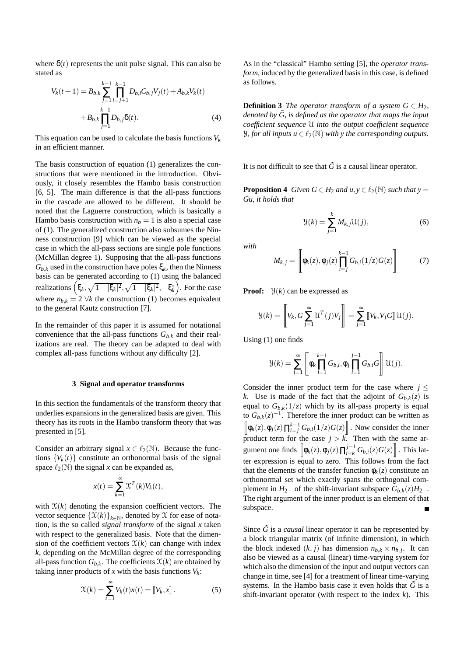where  $\delta(t)$  represents the unit pulse signal. This can also be stated as

$$
V_k(t+1) = B_{b,k} \sum_{j=1}^{k-1} \prod_{i=j+1}^{k-1} D_{b,i} C_{b,j} V_j(t) + A_{b,k} V_k(t)
$$
  
+  $B_{b,k} \prod_{j=1}^{k-1} D_{b,j} \delta(t)$ . (4)

This equation can be used to calculate the basis functions  $V_k$ in an efficient manner.

The basis construction of equation (1) generalizes the constructions that were mentioned in the introduction. Obviously, it closely resembles the Hambo basis construction [6, 5]. The main difference is that the all-pass functions in the cascade are allowed to be different. It should be noted that the Laguerre construction, which is basically a Hambo basis construction with  $n_b = 1$  is also a special case of (1). The generalized construction also subsumes the Ninness construction [9] which can be viewed as the special case in which the all-pass sections are single pole functions (McMillan degree 1). Supposing that the all-pass functions *G*<sub>*b*,*k*</sub> used in the construction have poles  $ξ$ *k*, then the Ninness basis can be generated according to (1) using the balanced realizations  $(\xi_k, \sqrt{1-|\xi_k|^2}, \sqrt{1-|\xi_k|^2}, -\xi_k^*)$ . For the case where  $n_{b,k} = 2 \forall k$  the construction (1) becomes equivalent to the general Kautz construction [7].

In the remainder of this paper it is assumed for notational convenience that the all-pass functions  $G_{b,k}$  and their realizations are real. The theory can be adapted to deal with complex all-pass functions without any difficulty [2].

#### **3 Signal and operator transforms**

In this section the fundamentals of the transform theory that underlies expansions in the generalized basis are given. This theory has its roots in the Hambo transform theory that was presented in [5].

Consider an arbitrary signal  $x \in \ell_2(\mathbb{N})$ . Because the functions  ${V_k(t)}$  constitute an orthonormal basis of the signal space  $\ell_2(\mathbb{N})$  the signal *x* can be expanded as,

$$
x(t) = \sum_{k=1}^{\infty} \mathcal{X}^{T}(k) V_{k}(t),
$$

with  $X(k)$  denoting the expansion coefficient vectors. The vector sequence  $\{X(k)\}_{k\in\mathbb{N}}$ , denoted by X for ease of notation, is the so called *signal transform* of the signal *x* taken with respect to the generalized basis. Note that the dimension of the coefficient vectors  $\mathfrak{X}(k)$  can change with index *k*, depending on the McMillan degree of the corresponding all-pass function  $G_{b,k}$ . The coefficients  $\mathfrak{X}(k)$  are obtained by taking inner products of  $x$  with the basis functions  $V_k$ :

$$
\mathcal{X}(k) = \sum_{t=1}^{\infty} V_k(t)x(t) = \llbracket V_k, x \rrbracket.
$$
 (5)

As in the "classical" Hambo setting [5], the *operator transform*, induced by the generalized basis in this case, is defined as follows.

**Definition 3** *The operator transform of a system*  $G \in H_2$ *, denoted by*  $\tilde{G}$ *, is defined as the operator that maps the input coefficient sequence* U *into the output coefficient sequence Y*, for all inputs  $u \in \ell_2(\mathbb{N})$  with y the corresponding outputs.

It is not difficult to see that  $\tilde{G}$  is a causal linear operator.

**Proposition 4** *Given*  $G \in H_2$  *and*  $u, v \in \ell_2(\mathbb{N})$  *such that*  $v =$ *Gu, it holds that*

$$
\mathcal{Y}(k) = \sum_{j=1}^{k} M_{k,j} \mathcal{U}(j),\tag{6}
$$

*with*

$$
M_{k,j} = \left[ \phi_k(z), \phi_j(z) \prod_{i=j}^{k-1} G_{b,i}(1/z) G(z) \right]
$$
 (7)

**Proof:**  $\mathcal{Y}(k)$  can be expressed as

$$
\mathcal{Y}(k) = \left\[ V_k, G \sum_{j=1}^{\infty} \mathcal{U}^T(j) V_j \right] = \sum_{j=1}^{\infty} \left[ V_k, V_j G \right] \mathcal{U}(j).
$$

Using (1) one finds

$$
\mathcal{Y}(k) = \sum_{j=1}^{\infty} \left[ \phi_k \prod_{i=1}^{k-1} G_{b,i}, \phi_j \prod_{i=1}^{j-1} G_{b,i} G \right] \mathcal{U}(j).
$$

Consider the inner product term for the case where  $j \leq$ *k*. Use is made of the fact that the adjoint of  $G_{b,k}(z)$  is equal to  $G_{b,k}(1/z)$  which by its all-pass property is equal to  $G_{b,k}(z)^{-1}$ . Therefore the inner product can be written as  $\left[\phi_k(z), \phi_j(z)\prod_{i=1}^{k-1} G_{b,i}(1/z)G(z)\right]$ . Now consider the inner product term for the case  $j > k$ . Then with the same argument one finds  $\left[ \phi_k(z), \phi_j(z) \prod_{i=k}^{j-1} G_{b,i}(z) G(z) \right]$ . This latter expression is equal to zero. This follows from the fact that the elements of the transfer function  $\phi_k(z)$  constitute an orthonormal set which exactly spans the orthogonal complement in *H*<sub>2−</sub> of the shift-invariant subspace  $G_{b,k}(z)H_{2-}$ . The right argument of the inner product is an element of that subspace.

Since  $\tilde{G}$  is a *causal* linear operator it can be represented by a block triangular matrix (of infinite dimension), in which the block indexed  $(k, j)$  has dimension  $n_{h,k} \times n_{h,j}$ . It can also be viewed as a causal (linear) time-varying system for which also the dimension of the input and output vectors can change in time, see [4] for a treatment of linear time-varying systems. In the Hambo basis case it even holds that  $\tilde{G}$  is a shift-invariant operator (with respect to the index *k*). This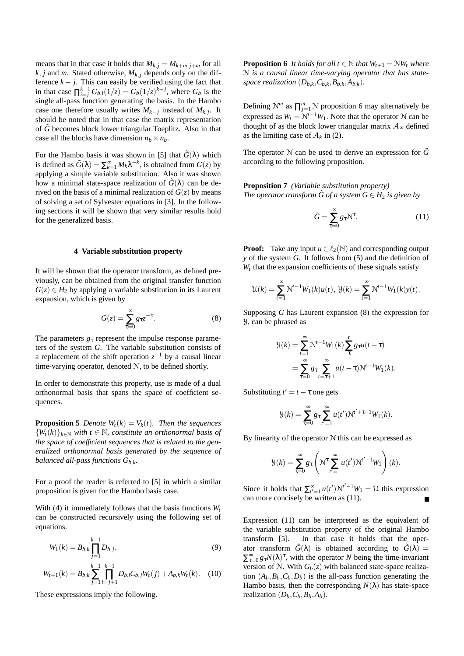means that in that case it holds that  $M_{k,i} = M_{k+m,i+m}$  for all  $k$ , *j* and *m*. Stated otherwise,  $M_{k,j}$  depends only on the difference  $k - j$ . This can easily be verified using the fact that in that case  $\prod_{i=1}^{k-1} G_{b,i}(1/z) = G_b(1/z)^{k-j}$ , where  $G_b$  is the single all-pass function generating the basis. In the Hambo case one therefore usually writes  $M_{k-j}$  instead of  $M_{k,j}$ . It should be noted that in that case the matrix representation of  $\tilde{G}$  becomes block lower triangular Toeplitz. Also in that case all the blocks have dimension  $n_b \times n_b$ .

For the Hambo basis it was shown in [5] that  $\tilde{G}(\lambda)$  which is defined as  $\tilde{G}(\lambda) = \sum_{k=1}^{\infty} M_k \lambda^{-k}$ , is obtained from  $G(z)$  by applying a simple variable substitution. Also it was shown how a minimal state-space realization of  $\tilde{G}(\lambda)$  can be derived on the basis of a minimal realization of  $G(z)$  by means of solving a set of Sylvester equations in [3]. In the following sections it will be shown that very similar results hold for the generalized basis.

#### **4 Variable substitution property**

It will be shown that the operator transform, as defined previously, can be obtained from the original transfer function  $G(z) \in H<sub>2</sub>$  by applying a variable substitution in its Laurent expansion, which is given by

$$
G(z) = \sum_{\tau=0}^{\infty} g_{\tau} z^{-\tau}.
$$
 (8)

The parameters  $g<sub>\tau</sub>$  represent the impulse response parameters of the system *G*. The variable substitution consists of a replacement of the shift operation *z*−<sup>1</sup> by a causal linear time-varying operator, denoted N, to be defined shortly.

In order to demonstrate this property, use is made of a dual orthonormal basis that spans the space of coefficient sequences.

**Proposition 5** *Denote*  $W_t(k) = V_k(t)$ *. Then the sequences*  ${W_t(k)}_{k \in \mathbb{N}}$  *with*  $t \in \mathbb{N}$ *, constitute an orthonormal basis of the space of coefficient sequences that is related to the generalized orthonormal basis generated by the sequence of balanced all-pass functions*  $G_{b,k}$ .

For a proof the reader is referred to [5] in which a similar proposition is given for the Hambo basis case.

With (4) it immediately follows that the basis functions  $W_t$ can be constructed recursively using the following set of equations.

$$
W_1(k) = B_{b,k} \prod_{j=1}^{k-1} D_{b,j},
$$
\n(9)

$$
W_{t+1}(k) = B_{b,k} \sum_{j=1}^{k-1} \prod_{i=j+1}^{k-1} D_{b,i} C_{b,j} W_t(j) + A_{b,k} W_t(k).
$$
 (10)

These expressions imply the following.

*k*−1

**Proposition 6** *It holds for all t*  $\in \mathbb{N}$  *that*  $W_{t+1} = \mathcal{N}W_t$  *where* N *is a causal linear time-varying operator that has statespace realization*  $(D_{h,k}, C_{h,k}, B_{h,k}, A_{h,k})$ .

Defining  $N^m$  as  $\prod_{j=1}^m N$  proposition 6 may alternatively be expressed as  $W_t = N^{t-1}W_1$ . Note that the operator N can be thought of as the block lower triangular matrix  $A_{\infty}$  defined as the limiting case of  $A_k$  in (2).

The operator N can be used to derive an expression for  $\tilde{G}$ according to the following proposition.

**Proposition 7** *(Variable substitution property) The operator transform*  $\tilde{G}$  *of a system*  $G \in H_2$  *is given by* 

$$
\tilde{G} = \sum_{\tau=0}^{\infty} g_{\tau} \mathcal{N}^{\tau}.
$$
 (11)

**Proof:** Take any input  $u \in \ell_2(\mathbb{N})$  and corresponding output *y* of the system *G*. It follows from (5) and the definition of  $W_t$  that the expansion coefficients of these signals satisfy

$$
\mathcal{U}(k) = \sum_{t=1}^{\infty} \mathcal{N}^{t-1} W_1(k) u(t), \ \mathcal{Y}(k) = \sum_{t=1}^{\infty} \mathcal{N}^{t-1} W_1(k) y(t).
$$

Supposing *G* has Laurent expansion (8) the expression for Y, can be phrased as

$$
\mathcal{Y}(k) = \sum_{t=1}^{\infty} \mathcal{N}^{t-1} W_1(k) \sum_{\tau}^{t} g_{\tau} u(t-\tau)
$$

$$
= \sum_{\tau=0}^{\infty} g_{\tau} \sum_{t=\tau+1}^{\infty} u(t-\tau) \mathcal{N}^{t-1} W_1(k).
$$

Substituting  $t' = t - \tau$  one gets

$$
\mathcal{Y}(k) = \sum_{\tau=0}^{\infty} g_{\tau} \sum_{t'=1}^{\infty} u(t') \mathcal{N}^{t'+\tau-1} W_1(k).
$$

By linearity of the operator  $N$  this can be expressed as

$$
\mathcal{Y}(k) = \sum_{\tau=0}^{\infty} g_{\tau} \left( \mathcal{N}^{\tau} \sum_{t'=1}^{\infty} u(t') \mathcal{N}^{t'-1} W_1 \right) (k).
$$

Since it holds that  $\sum_{t'=1}^{\infty} u(t') N^{t'-1} W_1 = \mathcal{U}$  this expression can more concisely be written as (11).

Expression (11) can be interpreted as the equivalent of the variable substitution property of the original Hambo transform [5]. In that case it holds that the operator transform  $\tilde{G}(\lambda)$  is obtained according to  $\tilde{G}(\lambda)$  =  $\sum_{\tau=0}^{\infty} g_{\tau} N(\lambda)^{\tau}$ , with the operator *N* being the time-invariant version of N. With  $G_b(z)$  with balanced state-space realization  $(A_b, B_b, C_b, D_b)$  is the all-pass function generating the Hambo basis, then the corresponding  $N(\lambda)$  has state-space realization  $(D_h, C_h, B_h, A_h)$ .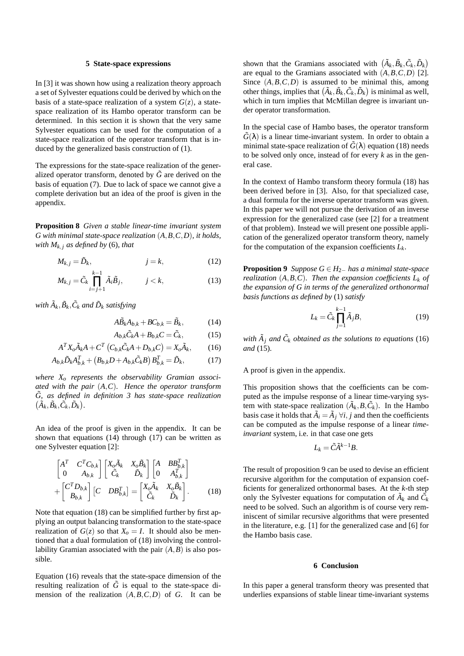## **5 State-space expressions**

In [3] it was shown how using a realization theory approach a set of Sylvester equations could be derived by which on the basis of a state-space realization of a system  $G(z)$ , a statespace realization of its Hambo operator transform can be determined. In this section it is shown that the very same Sylvester equations can be used for the computation of a state-space realization of the operator transform that is induced by the generalized basis construction of (1).

The expressions for the state-space realization of the generalized operator transform, denoted by  $\tilde{G}$  are derived on the basis of equation (7). Due to lack of space we cannot give a complete derivation but an idea of the proof is given in the appendix.

**Proposition 8** *Given a stable linear-time invariant system G with minimal state-space realization* (*A*,*B*,*C*,*D*)*, it holds, with*  $M_k$ , *as defined by* (6)*, that* 

$$
M_{k,j} = \tilde{D}_k, \qquad j = k,\tag{12}
$$

$$
M_{k,j} = \tilde{C}_k \prod_{i=j+1}^{k-1} \tilde{A}_i \tilde{B}_j, \qquad j < k,\tag{13}
$$

with  $\tilde{A}_k, \tilde{B}_k, \tilde{C}_k$  and  $\tilde{D}_k$  satisfying

$$
A\tilde{B}_k A_{k,k} + BC_{k,k} = \tilde{B}_k, \qquad (14)
$$

$$
A_{b,k}\tilde{C}_kA + B_{b,k}C = \tilde{C}_k, \qquad (15)
$$

$$
A^T X_o \tilde{A}_k A + C^T \left( C_{b,k} \tilde{C}_k A + D_{b,k} C \right) = X_o \tilde{A}_k, \tag{16}
$$

$$
A_{b,k}\tilde{D}_k A_{b,k}^T + (B_{b,k}D + A_{b,k}\tilde{C}_k B) B_{b,k}^T = \tilde{D}_k, \tag{17}
$$

*where Xo represents the observability Gramian associated with the pair* (*A*,*C*)*. Hence the operator transform*  $\tilde{G}$ , as defined in definition 3 has state-space realization  $(\tilde{A}_k, \tilde{B}_k, \tilde{C}_k, \tilde{D}_k).$ 

An idea of the proof is given in the appendix. It can be shown that equations (14) through (17) can be written as one Sylvester equation [2]:

$$
\begin{bmatrix}\nA^T & C^T C_{b,k} \\
0 & A_{b,k}\n\end{bmatrix}\n\begin{bmatrix}\nX_o \tilde{A}_k & X_o \tilde{B}_k \\
\tilde{C}_k & \tilde{D}_k\n\end{bmatrix}\n\begin{bmatrix}\nA & BB_{b,k}^T \\
0 & A_{b,k}^T\n\end{bmatrix} + \n\begin{bmatrix}\nC^T D_{b,k} \\
B_{b,k}\n\end{bmatrix}\n[C & DB_{b,k}^T\n\end{bmatrix} = \n\begin{bmatrix}\nX_o \tilde{A}_k & X_o \tilde{B}_k \\
\tilde{C}_k & \tilde{D}_k\n\end{bmatrix}.
$$
\n(18)

Note that equation (18) can be simplified further by first applying an output balancing transformation to the state-space realization of  $G(z)$  so that  $X_0 = I$ . It should also be mentioned that a dual formulation of (18) involving the controllability Gramian associated with the pair  $(A, B)$  is also possible.

Equation (16) reveals that the state-space dimension of the resulting realization of  $\tilde{G}$  is equal to the state-space dimension of the realization (*A*,*B*,*C*,*D*) of *G*. It can be

shown that the Gramians associated with  $(\tilde{A}_k, \tilde{B}_k, \tilde{C}_k, \tilde{D}_k)$ are equal to the Gramians associated with  $(A, B, C, D)$  [2]. Since  $(A, B, C, D)$  is assumed to be minimal this, among other things, implies that  $(\tilde{A}_k, \tilde{B}_k, \tilde{C}_k, \tilde{D}_k)$  is minimal as well, which in turn implies that McMillan degree is invariant under operator transformation.

In the special case of Hambo bases, the operator transform  $\tilde{G}(\lambda)$  is a linear time-invariant system. In order to obtain a minimal state-space realization of  $\tilde{G}(\lambda)$  equation (18) needs to be solved only once, instead of for every *k* as in the general case.

In the context of Hambo transform theory formula (18) has been derived before in [3]. Also, for that specialized case, a dual formula for the inverse operator transform was given. In this paper we will not pursue the derivation of an inverse expression for the generalized case (see [2] for a treatment of that problem). Instead we will present one possible application of the generalized operator transform theory, namely for the computation of the expansion coefficients  $L_k$ .

**Proposition 9** *Suppose*  $G \in H_{2-}$  *has a minimal state-space realization*  $(A, B, C)$ *. Then the expansion coefficients*  $L_k$  *of the expansion of G in terms of the generalized orthonormal basis functions as defined by* (1) *satisfy*

$$
L_k = \tilde{C}_k \prod_{j=1}^{k-1} \tilde{A}_j B,\tag{19}
$$

*with*  $\tilde{A}_j$  *and*  $\tilde{C}_k$  *obtained as the solutions to equations* (16) *and* (15)*.*

# A proof is given in the appendix.

This proposition shows that the coefficients can be computed as the impulse response of a linear time-varying system with state-space realization  $(\tilde{A}_k, B, \tilde{C}_k)$ . In the Hambo basis case it holds that  $\tilde{A}_i = \tilde{A}_j \ \forall i, j$  and then the coefficients can be computed as the impulse response of a linear *timeinvariant* system, i.e. in that case one gets

$$
L_k = \tilde{C}\tilde{A}^{k-1}B.
$$

The result of proposition 9 can be used to devise an efficient recursive algorithm for the computation of expansion coefficients for generalized orthonormal bases. At the *k*-th step only the Sylvester equations for computation of  $\tilde{A}_k$  and  $\tilde{C}_k$ need to be solved. Such an algorithm is of course very reminiscent of similar recursive algorithms that were presented in the literature, e.g. [1] for the generalized case and [6] for the Hambo basis case.

# **6 Conclusion**

In this paper a general transform theory was presented that underlies expansions of stable linear time-invariant systems